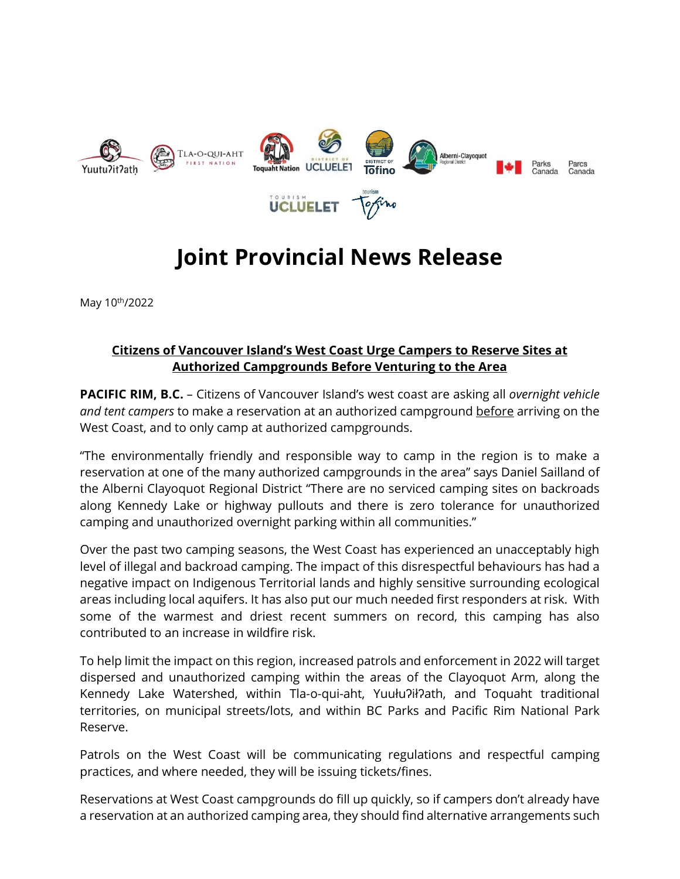

# **Joint Provincial News Release**

May 10<sup>th</sup>/2022

## **Citizens of Vancouver Island's West Coast Urge Campers to Reserve Sites at Authorized Campgrounds Before Venturing to the Area**

**PACIFIC RIM, B.C.** – Citizens of Vancouver Island's west coast are asking all *overnight vehicle and tent campers* to make a reservation at an authorized campground before arriving on the West Coast, and to only camp at authorized campgrounds.

"The environmentally friendly and responsible way to camp in the region is to make a reservation at one of the many authorized campgrounds in the area" says Daniel Sailland of the Alberni Clayoquot Regional District "There are no serviced camping sites on backroads along Kennedy Lake or highway pullouts and there is zero tolerance for unauthorized camping and unauthorized overnight parking within all communities."

Over the past two camping seasons, the West Coast has experienced an unacceptably high level of illegal and backroad camping. The impact of this disrespectful behaviours has had a negative impact on Indigenous Territorial lands and highly sensitive surrounding ecological areas including local aquifers. It has also put our much needed first responders at risk. With some of the warmest and driest recent summers on record, this camping has also contributed to an increase in wildfire risk.

To help limit the impact on this region, increased patrols and enforcement in 2022 will target dispersed and unauthorized camping within the areas of the Clayoquot Arm, along the Kennedy Lake Watershed, within Tla-o-qui-aht, Yuułu?ił?ath, and Toquaht traditional territories, on municipal streets/lots, and within BC Parks and Pacific Rim National Park Reserve.

Patrols on the West Coast will be communicating regulations and respectful camping practices, and where needed, they will be issuing tickets/fines.

Reservations at West Coast campgrounds do fill up quickly, so if campers don't already have a reservation at an authorized camping area, they should find alternative arrangements such